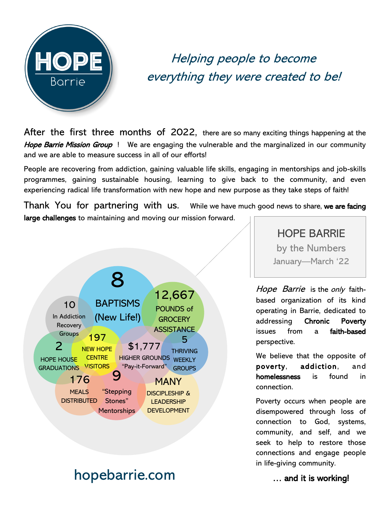

## Helping people to become everything they were created to be!

After the first three months of 2022, there are so many exciting things happening at the Hope Barrie Mission Group ! We are engaging the vulnerable and the marginalized in our community and we are able to measure success in all of our efforts!

People are recovering from addiction, gaining valuable life skills, engaging in mentorships and job-skills programmes, gaining sustainable housing, learning to give back to the community, and even experiencing radical life transformation with new hope and new purpose as they take steps of faith!

Thank You for partnering with us. While we have much good news to share, we are facing large challenges to maintaining and moving our mission forward.



## hopebarrie.com **Example 20** and it is working!

HOPE BARRIE by the Numbers

January—March '22

Hope Barrie is the only faithbased organization of its kind operating in Barrie, dedicated to addressing Chronic Poverty issues from a faith-based perspective.

We believe that the opposite of poverty, addiction, and homelessness is found in connection.

Poverty occurs when people are disempowered through loss of connection to God, systems, community, and self, and we seek to help to restore those connections and engage people in life-giving community.